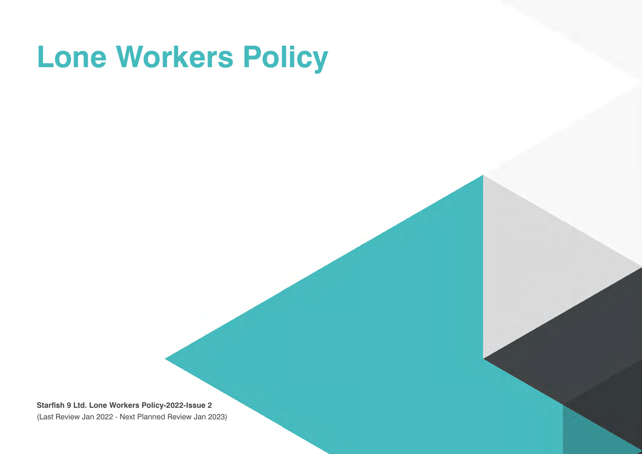# **Lone Workers Policy**

**Starfish 9 Ltd. Lone Workers Policy-2022-Issue 2**  (Last Review Jan 2022 - Next Planned Review Jan 2023)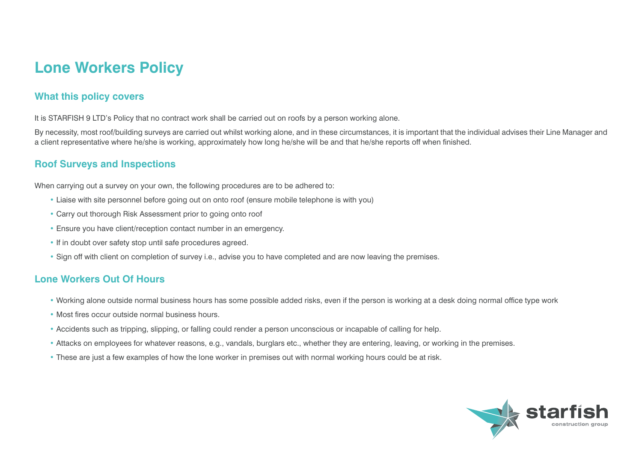## **Lone Workers Policy**

#### **What this policy covers**

It is STARFISH 9 LTD's Policy that no contract work shall be carried out on roofs by a person working alone.

By necessity, most roof/building surveys are carried out whilst working alone, and in these circumstances, it is important that the individual advises their Line Manager and a client representative where he/she is working, approximately how long he/she will be and that he/she reports off when finished.

#### **Roof Surveys and Inspections**

When carrying out a survey on your own, the following procedures are to be adhered to:

- Liaise with site personnel before going out on onto roof (ensure mobile telephone is with you)
- Carry out thorough Risk Assessment prior to going onto roof
- Ensure you have client/reception contact number in an emergency.
- If in doubt over safety stop until safe procedures agreed.
- Sign off with client on completion of survey i.e., advise you to have completed and are now leaving the premises.

### **Lone Workers Out Of Hours**

- Working alone outside normal business hours has some possible added risks, even if the person is working at a desk doing normal office type work
- Most fires occur outside normal business hours.
- Accidents such as tripping, slipping, or falling could render a person unconscious or incapable of calling for help.
- Attacks on employees for whatever reasons, e.g., vandals, burglars etc., whether they are entering, leaving, or working in the premises.
- These are just a few examples of how the lone worker in premises out with normal working hours could be at risk.